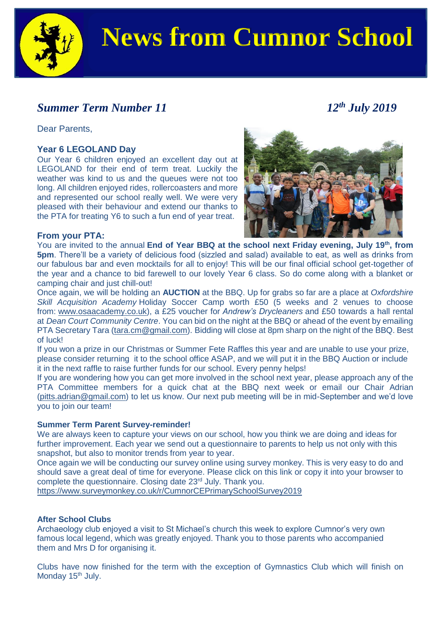

# **News from Cumnor School**

## *Summer Term Number* 11 12<sup>th</sup> *July* 2019

Dear Parents,

#### **Year 6 LEGOLAND Day**

Our Year 6 children enjoyed an excellent day out at LEGOLAND for their end of term treat. Luckily the weather was kind to us and the queues were not too long. All children enjoyed rides, rollercoasters and more and represented our school really well. We were very pleased with their behaviour and extend our thanks to the PTA for treating Y6 to such a fun end of year treat.



#### **From your PTA:**

You are invited to the annual **End of Year BBQ at the school next Friday evening, July 19th, from 5pm**. There'll be a variety of delicious food (sizzled and salad) available to eat, as well as drinks from our fabulous bar and even mocktails for all to enjoy! This will be our final official school get-together of the year and a chance to bid farewell to our lovely Year 6 class. So do come along with a blanket or camping chair and just chill-out!

Once again, we will be holding an **AUCTION** at the BBQ. Up for grabs so far are a place at *Oxfordshire Skill Acquisition Academy* Holiday Soccer Camp worth £50 (5 weeks and 2 venues to choose from: [www.osaacademy.co.uk\)](http://www.osaacademy.co.uk/), a £25 voucher for *Andrew's Drycleaners* and £50 towards a hall rental at *Dean Court Community Centre*. You can bid on the night at the BBQ or ahead of the event by emailing PTA Secretary Tara [\(tara.cm@gmail.com\)](mailto:tara.cm@gmail.com). Bidding will close at 8pm sharp on the night of the BBQ. Best of luck!

If you won a prize in our Christmas or Summer Fete Raffles this year and are unable to use your prize, please consider returning it to the school office ASAP, and we will put it in the BBQ Auction or include it in the next raffle to raise further funds for our school. Every penny helps!

If you are wondering how you can get more involved in the school next year, please approach any of the PTA Committee members for a quick chat at the BBQ next week or email our Chair Adrian [\(pitts.adrian@gmail.com\)](mailto:pitts.adrian@gmail.com) to let us know. Our next pub meeting will be in mid-September and we'd love you to join our team!

#### **Summer Term Parent Survey-reminder!**

We are always keen to capture your views on our school, how you think we are doing and ideas for further improvement. Each year we send out a questionnaire to parents to help us not only with this snapshot, but also to monitor trends from year to year.

Once again we will be conducting our survey online using survey monkey. This is very easy to do and should save a great deal of time for everyone. Please click on this link or copy it into your browser to complete the questionnaire. Closing date 23<sup>rd</sup> July. Thank you.

<https://www.surveymonkey.co.uk/r/CumnorCEPrimarySchoolSurvey2019>

#### **After School Clubs**

Archaeology club enjoyed a visit to St Michael's church this week to explore Cumnor's very own famous local legend, which was greatly enjoyed. Thank you to those parents who accompanied them and Mrs D for organising it.

Clubs have now finished for the term with the exception of Gymnastics Club which will finish on Monday 15<sup>th</sup> July.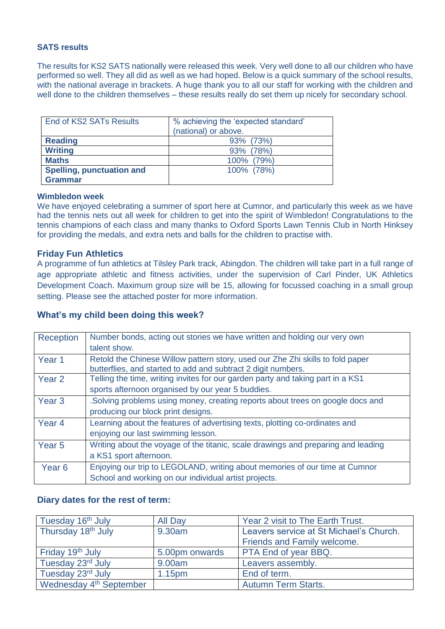#### **SATS results**

The results for KS2 SATS nationally were released this week. Very well done to all our children who have performed so well. They all did as well as we had hoped. Below is a quick summary of the school results, with the national average in brackets. A huge thank you to all our staff for working with the children and well done to the children themselves – these results really do set them up nicely for secondary school.

| End of KS2 SATs Results          | % achieving the 'expected standard'<br>(national) or above. |  |  |
|----------------------------------|-------------------------------------------------------------|--|--|
| <b>Reading</b>                   | 93% (73%)                                                   |  |  |
| <b>Writing</b>                   | 93% (78%)                                                   |  |  |
| <b>Maths</b>                     | 100% (79%)                                                  |  |  |
| <b>Spelling, punctuation and</b> | 100% (78%)                                                  |  |  |
| <b>Grammar</b>                   |                                                             |  |  |

#### **Wimbledon week**

We have enjoyed celebrating a summer of sport here at Cumnor, and particularly this week as we have had the tennis nets out all week for children to get into the spirit of Wimbledon! Congratulations to the tennis champions of each class and many thanks to Oxford Sports Lawn Tennis Club in North Hinksey for providing the medals, and extra nets and balls for the children to practise with.

#### **Friday Fun Athletics**

A programme of fun athletics at Tilsley Park track, Abingdon. The children will take part in a full range of age appropriate athletic and fitness activities, under the supervision of Carl Pinder, UK Athletics Development Coach. Maximum group size will be 15, allowing for focussed coaching in a small group setting. Please see the attached poster for more information.

#### **What's my child been doing this week?**

| Reception         | Number bonds, acting out stories we have written and holding our very own<br>talent show.                                                       |
|-------------------|-------------------------------------------------------------------------------------------------------------------------------------------------|
| Year 1            | Retold the Chinese Willow pattern story, used our Zhe Zhi skills to fold paper<br>butterflies, and started to add and subtract 2 digit numbers. |
| Year <sub>2</sub> | Telling the time, writing invites for our garden party and taking part in a KS1                                                                 |
|                   | sports afternoon organised by our year 5 buddies.                                                                                               |
| Year <sub>3</sub> | Solving problems using money, creating reports about trees on google docs and                                                                   |
|                   | producing our block print designs.                                                                                                              |
| Year <sub>4</sub> | Learning about the features of advertising texts, plotting co-ordinates and                                                                     |
|                   | enjoying our last swimming lesson.                                                                                                              |
| Year 5            | Writing about the voyage of the titanic, scale drawings and preparing and leading                                                               |
|                   | a KS1 sport afternoon.                                                                                                                          |
| Year <sub>6</sub> | Enjoying our trip to LEGOLAND, writing about memories of our time at Cumnor                                                                     |
|                   | School and working on our individual artist projects.                                                                                           |

#### **Diary dates for the rest of term:**

| Tuesday 16 <sup>th</sup> July       | <b>All Day</b> | Year 2 visit to The Earth Trust.        |  |
|-------------------------------------|----------------|-----------------------------------------|--|
| Thursday 18th July                  | 9.30am         | Leavers service at St Michael's Church. |  |
|                                     |                | Friends and Family welcome.             |  |
| Friday 19th July                    | 5.00pm onwards | <b>PTA End of year BBQ.</b>             |  |
| Tuesday 23rd July                   | 9.00am         | Leavers assembly.                       |  |
| Tuesday 23rd July                   | 1.15pm         | End of term.                            |  |
| Wednesday 4 <sup>th</sup> September |                | <b>Autumn Term Starts.</b>              |  |